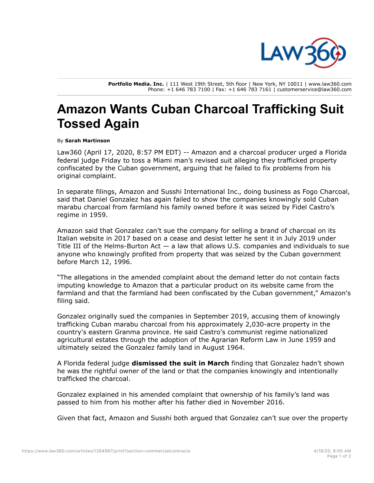

**Portfolio Media. Inc.** | 111 West 19th Street, 5th floor | New York, NY 10011 | www.law360.com Phone: +1 646 783 7100 | Fax: +1 646 783 7161 | customerservice@law360.com

## **Amazon Wants Cuban Charcoal Trafficking Suit Tossed Again**

By **Sarah Martinson**

Law360 (April 17, 2020, 8:57 PM EDT) -- Amazon and a charcoal producer urged a Florida federal judge Friday to toss a Miami man's revised suit alleging they trafficked property confiscated by the Cuban government, arguing that he failed to fix problems from his original complaint.

In separate filings, Amazon and Susshi International Inc., doing business as Fogo Charcoal, said that Daniel Gonzalez has again failed to show the companies knowingly sold Cuban marabu charcoal from farmland his family owned before it was seized by Fidel Castro's regime in 1959.

Amazon said that Gonzalez can't sue the company for selling a brand of charcoal on its Italian website in 2017 based on a cease and desist letter he sent it in July 2019 under Title III of the Helms-Burton Act — a law that allows U.S. companies and individuals to sue anyone who knowingly profited from property that was seized by the Cuban government before March 12, 1996.

"The allegations in the amended complaint about the demand letter do not contain facts imputing knowledge to Amazon that a particular product on its website came from the farmland and that the farmland had been confiscated by the Cuban government," Amazon's filing said.

Gonzalez originally sued the companies in September 2019, accusing them of knowingly trafficking Cuban marabu charcoal from his approximately 2,030-acre property in the country's eastern Granma province. He said Castro's communist regime nationalized agricultural estates through the adoption of the Agrarian Reform Law in June 1959 and ultimately seized the Gonzalez family land in August 1964.

A Florida federal judge **dismissed the suit in March** finding that Gonzalez hadn't shown he was the rightful owner of the land or that the companies knowingly and intentionally trafficked the charcoal.

Gonzalez explained in his amended complaint that ownership of his family's land was passed to him from his mother after his father died in November 2016.

Given that fact, Amazon and Susshi both argued that Gonzalez can't sue over the property